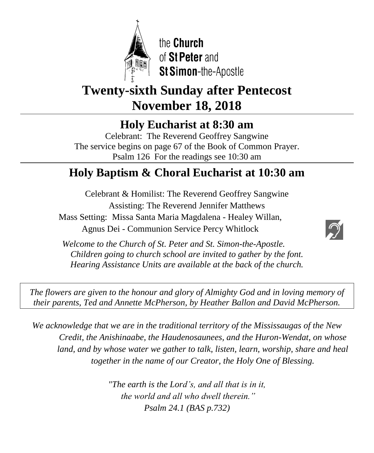

the Church of St Peter and St Simon-the-Apostle

# **Twenty-sixth Sunday after Pentecost November 18, 2018**

**Holy Eucharist at 8:30 am**

Celebrant: The Reverend Geoffrey Sangwine The service begins on page 67 of the Book of Common Prayer. Psalm 126 For the readings see 10:30 am

# **Holy Baptism & Choral Eucharist at 10:30 am**

Celebrant & Homilist: The Reverend Geoffrey Sangwine Assisting: The Reverend Jennifer Matthews Mass Setting: Missa Santa Maria Magdalena - Healey Willan, Agnus Dei - Communion Service Percy Whitlock



Ì *Welcome to the Church of St. Peter and St. Simon-the-Apostle. Children going to church school are invited to gather by the font. Hearing Assistance Units are available at the back of the church.*

*The flowers are given to the honour and glory of Almighty God and in loving memory of their parents, Ted and Annette McPherson, by Heather Ballon and David McPherson.*

*We acknowledge that we are in the traditional territory of the Mississaugas of the New Credit, the Anishinaabe, the Haudenosaunees, and the Huron-Wendat, on whose land, and by whose water we gather to talk, listen, learn, worship, share and heal together in the name of our Creator, the Holy One of Blessing.*

> *"The earth is the Lord's, and all that is in it, the world and all who dwell therein." Psalm 24.1 (BAS p.732)*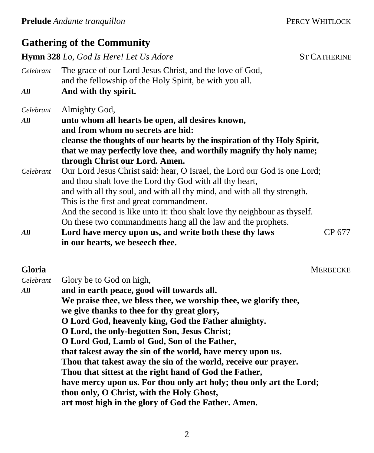## **Gathering of the Community**

**Hymn 328** *Lo, God Is Here! Let Us Adore* ST CATHERINE

*Celebrant* The grace of our Lord Jesus Christ, and the love of God, and the fellowship of the Holy Spirit, be with you all. *All* **And with thy spirit.**

*Celebrant* Almighty God,

# *All* **unto whom all hearts be open, all desires known,**

**and from whom no secrets are hid: cleanse the thoughts of our hearts by the inspiration of thy Holy Spirit,**

- **that we may perfectly love thee, and worthily magnify thy holy name; through Christ our Lord. Amen.**
- *Celebrant* Our Lord Jesus Christ said: hear, O Israel, the Lord our God is one Lord; and thou shalt love the Lord thy God with all thy heart, and with all thy soul, and with all thy mind, and with all thy strength. This is the first and great commandment.

And the second is like unto it: thou shalt love thy neighbour as thyself. On these two commandments hang all the law and the prophets.

*All* **Lord have mercy upon us, and write both these thy laws** CP 677 **in our hearts, we beseech thee.**

**Gloria** MERBECKE

| Celebrant | Glory be to God on high,                                            |
|-----------|---------------------------------------------------------------------|
| All       | and in earth peace, good will towards all.                          |
|           | We praise thee, we bless thee, we worship thee, we glorify thee,    |
|           | we give thanks to thee for thy great glory,                         |
|           | O Lord God, heavenly king, God the Father almighty.                 |
|           | O Lord, the only-begotten Son, Jesus Christ;                        |
|           | O Lord God, Lamb of God, Son of the Father,                         |
|           | that takest away the sin of the world, have mercy upon us.          |
|           | Thou that takest away the sin of the world, receive our prayer.     |
|           | Thou that sittest at the right hand of God the Father,              |
|           | have mercy upon us. For thou only art holy; thou only art the Lord; |
|           | thou only, O Christ, with the Holy Ghost,                           |
|           | art most high in the glory of God the Father. Amen.                 |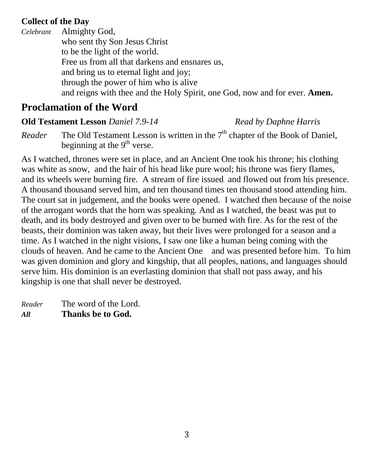### **Collect of the Day**

*Celebrant* Almighty God, who sent thy Son Jesus Christ to be the light of the world. Free us from all that darkens and ensnares us, and bring us to eternal light and joy; through the power of him who is alive and reigns with thee and the Holy Spirit, one God, now and for ever. **Amen.**

# **Proclamation of the Word**

**Old Testament Lesson** *Daniel 7.9-14**Read by Daphne Harris*

*Reader* The Old Testament Lesson is written in the  $7<sup>th</sup>$  chapter of the Book of Daniel, beginning at the 9<sup>th</sup> verse.

As I watched, thrones were set in place, and an Ancient One took his throne; his clothing was white as snow, and the hair of his head like pure wool; his throne was fiery flames, and its wheels were burning fire. A stream of fire issued and flowed out from his presence. A thousand thousand served him, and ten thousand times ten thousand stood attending him. The court sat in judgement, and the books were opened. I watched then because of the noise of the arrogant words that the horn was speaking. And as I watched, the beast was put to death, and its body destroyed and given over to be burned with fire. As for the rest of the beasts, their dominion was taken away, but their lives were prolonged for a season and a time. As I watched in the night visions, I saw one like a human being coming with the clouds of heaven. And he came to the Ancient One and was presented before him. To him was given dominion and glory and kingship, that all peoples, nations, and languages should serve him. His dominion is an everlasting dominion that shall not pass away, and his kingship is one that shall never be destroyed.

*Reader* The word of the Lord. *All* **Thanks be to God.**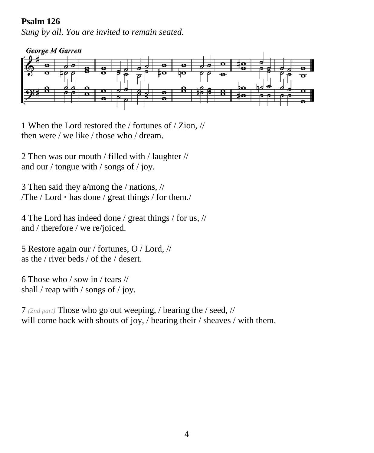#### **Psalm 126**

*Sung by all*. *You are invited to remain seated.*



1 When the Lord restored the / fortunes of / Zion, // then were / we like / those who / dream.

2 Then was our mouth / filled with / laughter // and our / tongue with / songs of / joy.

3 Then said they a/mong the / nations, // /The / Lord **·** has done / great things / for them./

4 The Lord has indeed done / great things / for us, // and / therefore / we re/joiced.

5 Restore again our / fortunes, O / Lord, // as the / river beds / of the / desert.

6 Those who / sow in / tears // shall / reap with / songs of / joy.

7 *(2nd part)* Those who go out weeping, / bearing the / seed, // will come back with shouts of joy, / bearing their / sheaves / with them.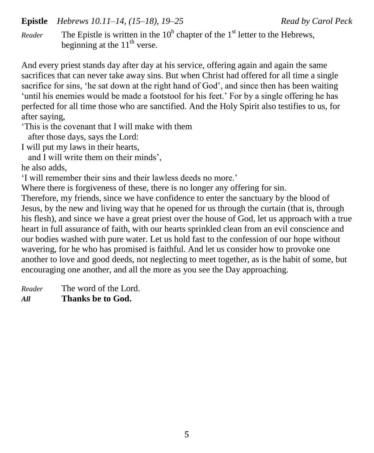#### **Epistle** *Hebrews 10.11–14, (15–18), 19–25 Read by Carol Peck*

*Reader* The Epistle is written in the  $10<sup>h</sup>$  chapter of the 1<sup>st</sup> letter to the Hebrews, beginning at the  $11<sup>th</sup>$  verse.

And every priest stands day after day at his service, offering again and again the same sacrifices that can never take away sins. But when Christ had offered for all time a single sacrifice for sins, 'he sat down at the right hand of God', and since then has been waiting 'until his enemies would be made a footstool for his feet.' For by a single offering he has perfected for all time those who are sanctified. And the Holy Spirit also testifies to us, for after saying,

'This is the covenant that I will make with them

after those days, says the Lord:

I will put my laws in their hearts,

and I will write them on their minds',

he also adds,

'I will remember their sins and their lawless deeds no more.'

Where there is forgiveness of these, there is no longer any offering for sin.

Therefore, my friends, since we have confidence to enter the sanctuary by the blood of Jesus, by the new and living way that he opened for us through the curtain (that is, through his flesh), and since we have a great priest over the house of God, let us approach with a true heart in full assurance of faith, with our hearts sprinkled clean from an evil conscience and our bodies washed with pure water. Let us hold fast to the confession of our hope without wavering, for he who has promised is faithful. And let us consider how to provoke one another to love and good deeds, not neglecting to meet together, as is the habit of some, but encouraging one another, and all the more as you see the Day approaching.

*Reader* The word of the Lord. *All* **Thanks be to God.**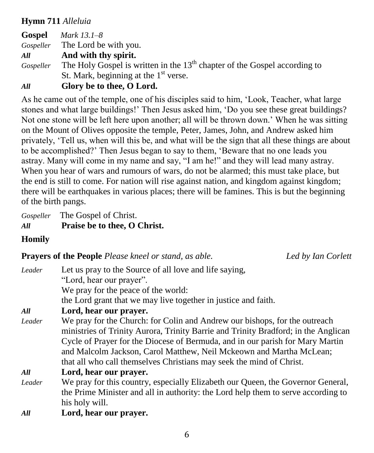### **Hymn 711** *Alleluia*

**Gospel** *Mark 13.1–8 Gospeller* The Lord be with you. *All* **And with thy spirit.** *Gospeller* The Holy Gospel is written in the 13<sup>th</sup> chapter of the Gospel according to St. Mark, beginning at the  $1<sup>st</sup>$  verse.

*All* **Glory be to thee, O Lord.**

As he came out of the temple, one of his disciples said to him, 'Look, Teacher, what large stones and what large buildings!' Then Jesus asked him, 'Do you see these great buildings? Not one stone will be left here upon another; all will be thrown down.' When he was sitting on the Mount of Olives opposite the temple, Peter, James, John, and Andrew asked him privately, 'Tell us, when will this be, and what will be the sign that all these things are about to be accomplished?' Then Jesus began to say to them, 'Beware that no one leads you astray. Many will come in my name and say, "I am he!" and they will lead many astray. When you hear of wars and rumours of wars, do not be alarmed; this must take place, but the end is still to come. For nation will rise against nation, and kingdom against kingdom; there will be earthquakes in various places; there will be famines. This is but the beginning of the birth pangs.

*Gospeller* The Gospel of Christ. *All* **Praise be to thee, O Christ.**

**Homily**

**Prayers of the People** *Please kneel or stand, as able. Led by Ian Corlett*

| Leader | Let us pray to the Source of all love and life saying,                             |
|--------|------------------------------------------------------------------------------------|
|        | "Lord, hear our prayer".                                                           |
|        | We pray for the peace of the world:                                                |
|        | the Lord grant that we may live together in justice and faith.                     |
| All    | Lord, hear our prayer.                                                             |
| Leader | We pray for the Church: for Colin and Andrew our bishops, for the outreach         |
|        | ministries of Trinity Aurora, Trinity Barrie and Trinity Bradford; in the Anglican |
|        | Cycle of Prayer for the Diocese of Bermuda, and in our parish for Mary Martin      |
|        | and Malcolm Jackson, Carol Matthew, Neil Mckeown and Martha McLean;                |
|        | that all who call themselves Christians may seek the mind of Christ.               |
| All    | Lord, hear our prayer.                                                             |
| Leader | We pray for this country, especially Elizabeth our Queen, the Governor General,    |
|        | the Prime Minister and all in authority: the Lord help them to serve according to  |
|        | his holy will.                                                                     |
| All    | Lord, hear our prayer.                                                             |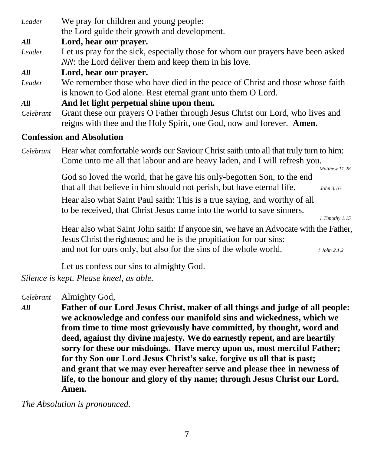| Leader                           | We pray for children and young people:                                                |
|----------------------------------|---------------------------------------------------------------------------------------|
|                                  | the Lord guide their growth and development.                                          |
| All                              | Lord, hear our prayer.                                                                |
| Leader                           | Let us pray for the sick, especially those for whom our prayers have been asked       |
|                                  | NN: the Lord deliver them and keep them in his love.                                  |
| All                              | Lord, hear our prayer.                                                                |
| Leader                           | We remember those who have died in the peace of Christ and those whose faith          |
|                                  | is known to God alone. Rest eternal grant unto them O Lord.                           |
| All                              | And let light perpetual shine upon them.                                              |
| Celebrant                        | Grant these our prayers O Father through Jesus Christ our Lord, who lives and         |
|                                  | reigns with thee and the Holy Spirit, one God, now and forever. Amen.                 |
| <b>Confession and Absolution</b> |                                                                                       |
| Celebrant                        | Hear what comfortable words our Saviour Christ saith unto all that truly turn to him: |
|                                  | Come unto me all that labour and are heavy laden, and I will refresh you.             |
|                                  | Matthew 11.28                                                                         |
|                                  | God so loved the world, that he gave his only-begotten Son, to the end                |
|                                  | that all that believe in him should not perish, but have eternal life.<br>John 3.16   |
|                                  |                                                                                       |

Hear also what Saint Paul saith: This is a true saying, and worthy of all to be received, that Christ Jesus came into the world to save sinners.

*1 Timothy 1.15*

Hear also what Saint John saith: If anyone sin, we have an Advocate with the Father, Jesus Christ the righteous; and he is the propitiation for our sins: and not for ours only, but also for the sins of the whole world. *1 John 2.1,2*

Let us confess our sins to almighty God.

*Silence is kept. Please kneel, as able.*

*Celebrant* Almighty God,

*All* **Father of our Lord Jesus Christ, maker of all things and judge of all people: we acknowledge and confess our manifold sins and wickedness, which we from time to time most grievously have committed, by thought, word and deed, against thy divine majesty. We do earnestly repent, and are heartily sorry for these our misdoings. Have mercy upon us, most merciful Father; for thy Son our Lord Jesus Christ's sake, forgive us all that is past; and grant that we may ever hereafter serve and please thee in newness of life, to the honour and glory of thy name; through Jesus Christ our Lord. Amen.**

*The Absolution is pronounced.*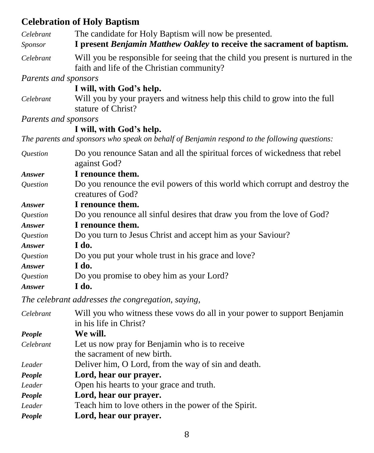## **Celebration of Holy Baptism**

| Cenebration of Hory Dapublic                                                                                                   |
|--------------------------------------------------------------------------------------------------------------------------------|
| The candidate for Holy Baptism will now be presented.                                                                          |
| I present Benjamin Matthew Oakley to receive the sacrament of baptism.                                                         |
| Will you be responsible for seeing that the child you present is nurtured in the<br>faith and life of the Christian community? |
| Parents and sponsors                                                                                                           |
| I will, with God's help.                                                                                                       |
| Will you by your prayers and witness help this child to grow into the full<br>stature of Christ?                               |
| Parents and sponsors                                                                                                           |
| I will, with God's help.                                                                                                       |
| The parents and sponsors who speak on behalf of Benjamin respond to the following questions:                                   |
| Do you renounce Satan and all the spiritual forces of wickedness that rebel<br>against God?                                    |
| I renounce them.                                                                                                               |
| Do you renounce the evil powers of this world which corrupt and destroy the<br>creatures of God?                               |
| I renounce them.                                                                                                               |
| Do you renounce all sinful desires that draw you from the love of God?                                                         |
| I renounce them.                                                                                                               |
| Do you turn to Jesus Christ and accept him as your Saviour?                                                                    |
| I do.                                                                                                                          |
| Do you put your whole trust in his grace and love?                                                                             |
| I do.                                                                                                                          |
| Do you promise to obey him as your Lord?                                                                                       |
| I do.                                                                                                                          |
| The celebrant addresses the congregation, saying,                                                                              |
| Will you who witness these vows do all in your power to support Benjamin<br>in his life in Christ?                             |
| We will.                                                                                                                       |
| Let us now pray for Benjamin who is to receive<br>the sacrament of new birth.                                                  |
| Deliver him, O Lord, from the way of sin and death.                                                                            |
| Lord, hear our prayer.                                                                                                         |
|                                                                                                                                |

*Leader* Open his hearts to your grace and truth.

*People* **Lord, hear our prayer.**

*Leader* Teach him to love others in the power of the Spirit.

*People* **Lord, hear our prayer.**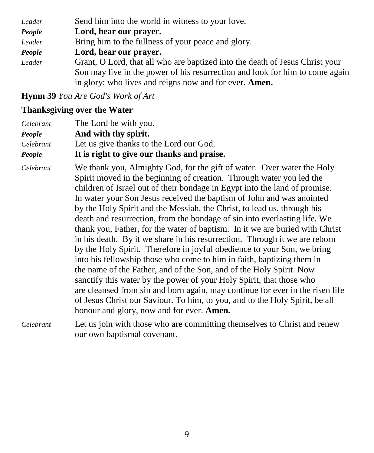| Leader | Send him into the world in witness to your love.                             |
|--------|------------------------------------------------------------------------------|
| People | Lord, hear our prayer.                                                       |
| Leader | Bring him to the fullness of your peace and glory.                           |
| People | Lord, hear our prayer.                                                       |
| Leader | Grant, O Lord, that all who are baptized into the death of Jesus Christ your |
|        | Son may live in the power of his resurrection and look for him to come again |
|        | in glory; who lives and reigns now and for ever. Amen.                       |

**Hymn 39** *You Are God's Work of Art*

#### **Thanksgiving over the Water**

| Celebrant     | The Lord be with you.                      |
|---------------|--------------------------------------------|
| <b>People</b> | And with thy spirit.                       |
| Celebrant     | Let us give thanks to the Lord our God.    |
| People        | It is right to give our thanks and praise. |

*Celebrant* We thank you, Almighty God, for the gift of water. Over water the Holy Spirit moved in the beginning of creation. Through water you led the children of Israel out of their bondage in Egypt into the land of promise. In water your Son Jesus received the baptism of John and was anointed by the Holy Spirit and the Messiah, the Christ, to lead us, through his death and resurrection, from the bondage of sin into everlasting life. We thank you, Father, for the water of baptism. In it we are buried with Christ in his death. By it we share in his resurrection. Through it we are reborn by the Holy Spirit. Therefore in joyful obedience to your Son, we bring into his fellowship those who come to him in faith, baptizing them in the name of the Father, and of the Son, and of the Holy Spirit. Now sanctify this water by the power of your Holy Spirit, that those who are cleansed from sin and born again, may continue for ever in the risen life of Jesus Christ our Saviour. To him, to you, and to the Holy Spirit, be all honour and glory, now and for ever. **Amen.**

*Celebrant* Let us join with those who are committing themselves to Christ and renew our own baptismal covenant.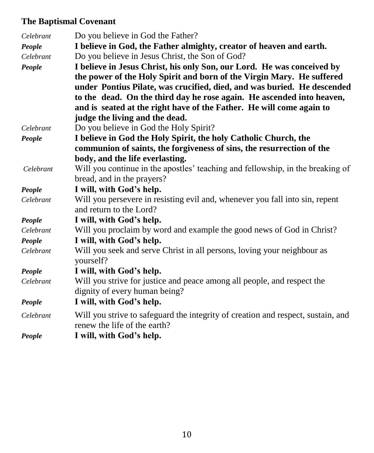# **The Baptismal Covenant**

| Celebrant | Do you believe in God the Father?                                                    |
|-----------|--------------------------------------------------------------------------------------|
| People    | I believe in God, the Father almighty, creator of heaven and earth.                  |
| Celebrant | Do you believe in Jesus Christ, the Son of God?                                      |
| People    | I believe in Jesus Christ, his only Son, our Lord. He was conceived by               |
|           | the power of the Holy Spirit and born of the Virgin Mary. He suffered                |
|           | under Pontius Pilate, was crucified, died, and was buried. He descended              |
|           | to the dead. On the third day he rose again. He ascended into heaven,                |
|           | and is seated at the right have of the Father. He will come again to                 |
|           | judge the living and the dead.                                                       |
| Celebrant | Do you believe in God the Holy Spirit?                                               |
| People    | I believe in God the Holy Spirit, the holy Catholic Church, the                      |
|           | communion of saints, the forgiveness of sins, the resurrection of the                |
|           | body, and the life everlasting.                                                      |
| Celebrant | Will you continue in the apostles' teaching and fellowship, in the breaking of       |
|           | bread, and in the prayers?                                                           |
| People    | I will, with God's help.                                                             |
| Celebrant | Will you persevere in resisting evil and, whenever you fall into sin, repent         |
|           | and return to the Lord?                                                              |
| People    | I will, with God's help.                                                             |
| Celebrant | Will you proclaim by word and example the good news of God in Christ?                |
| People    | I will, with God's help.                                                             |
| Celebrant | Will you seek and serve Christ in all persons, loving your neighbour as<br>yourself? |
| People    | I will, with God's help.                                                             |
| Celebrant | Will you strive for justice and peace among all people, and respect the              |
|           | dignity of every human being?                                                        |
| People    | I will, with God's help.                                                             |
| Celebrant | Will you strive to safeguard the integrity of creation and respect, sustain, and     |
|           | renew the life of the earth?                                                         |
| People    | I will, with God's help.                                                             |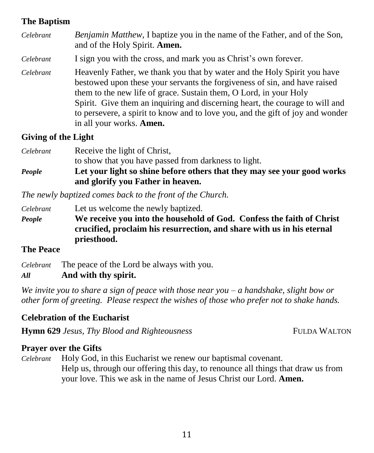#### **The Baptism**

| Celebrant | Benjamin Matthew, I baptize you in the name of the Father, and of the Son,<br>and of the Holy Spirit. Amen.                                                                                                                                                                                                                                                                                                                     |
|-----------|---------------------------------------------------------------------------------------------------------------------------------------------------------------------------------------------------------------------------------------------------------------------------------------------------------------------------------------------------------------------------------------------------------------------------------|
| Celebrant | I sign you with the cross, and mark you as Christ's own forever.                                                                                                                                                                                                                                                                                                                                                                |
| Celebrant | Heavenly Father, we thank you that by water and the Holy Spirit you have<br>bestowed upon these your servants the forgiveness of sin, and have raised<br>them to the new life of grace. Sustain them, O Lord, in your Holy<br>Spirit. Give them an inquiring and discerning heart, the courage to will and<br>to persevere, a spirit to know and to love you, and the gift of joy and wonder<br>in all your works. <b>Amen.</b> |

#### **Giving of the Light**

| Celebrant | Receive the light of Christ,                                            |
|-----------|-------------------------------------------------------------------------|
|           | to show that you have passed from darkness to light.                    |
| People    | Let your light so shine before others that they may see your good works |
|           | and glorify you Father in heaven.                                       |

*The newly baptized comes back to the front of the Church.*

*Celebrant* Let us welcome the newly baptized. *People* **We receive you into the household of God. Confess the faith of Christ crucified, proclaim his resurrection, and share with us in his eternal priesthood.**

#### **The Peace**

*Celebrant* The peace of the Lord be always with you.

#### *All* **And with thy spirit.**

*We invite you to share a sign of peace with those near you – a handshake, slight bow or other form of greeting. Please respect the wishes of those who prefer not to shake hands.*

#### **Celebration of the Eucharist**

**Hymn 629** *Jesus, Thy Blood and Righteousness* FULDA WALTON

#### **Prayer over the Gifts**

*Celebrant* Holy God, in this Eucharist we renew our baptismal covenant. Help us, through our offering this day, to renounce all things that draw us from your love. This we ask in the name of Jesus Christ our Lord. **Amen.**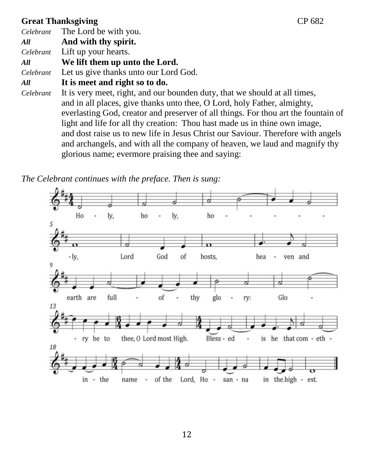### **Great Thanksgiving CP 682**

*Celebrant* The Lord be with you. *All* **And with thy spirit.** *Celebrant* Lift up your hearts. *All* **We lift them up unto the Lord.** *Celebrant* Let us give thanks unto our Lord God. *All* **It is meet and right so to do.** *Celebrant* It is very meet, right, and our bounden duty, that we should at all times, and in all places, give thanks unto thee, O Lord, holy Father, almighty, everlasting God, creator and preserver of all things. For thou art the fountain of light and life for all thy creation: Thou hast made us in thine own image, and dost raise us to new life in Jesus Christ our Saviour. Therefore with angels and archangels, and with all the company of heaven, we laud and magnify thy glorious name; evermore praising thee and saying:

*The Celebrant continues with the preface. Then is sung:*

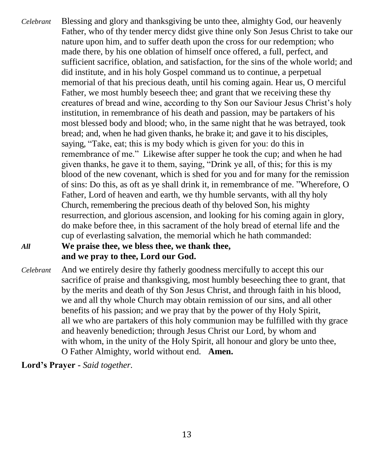*Celebrant* Blessing and glory and thanksgiving be unto thee, almighty God, our heavenly Father, who of thy tender mercy didst give thine only Son Jesus Christ to take our nature upon him, and to suffer death upon the cross for our redemption; who made there, by his one oblation of himself once offered, a full, perfect, and sufficient sacrifice, oblation, and satisfaction, for the sins of the whole world; and did institute, and in his holy Gospel command us to continue, a perpetual memorial of that his precious death, until his coming again. Hear us, O merciful Father, we most humbly beseech thee; and grant that we receiving these thy creatures of bread and wine, according to thy Son our Saviour Jesus Christ's holy institution, in remembrance of his death and passion, may be partakers of his most blessed body and blood; who, in the same night that he was betrayed, took bread; and, when he had given thanks, he brake it; and gave it to his disciples, saying, "Take, eat; this is my body which is given for you: do this in remembrance of me." Likewise after supper he took the cup; and when he had given thanks, he gave it to them, saying, "Drink ye all, of this; for this is my blood of the new covenant, which is shed for you and for many for the remission of sins: Do this, as oft as ye shall drink it, in remembrance of me. "Wherefore, O Father, Lord of heaven and earth, we thy humble servants, with all thy holy Church, remembering the precious death of thy beloved Son, his mighty resurrection, and glorious ascension, and looking for his coming again in glory, do make before thee, in this sacrament of the holy bread of eternal life and the cup of everlasting salvation, the memorial which he hath commanded:

### *All* **We praise thee, we bless thee, we thank thee, and we pray to thee, Lord our God.**

*Celebrant* And we entirely desire thy fatherly goodness mercifully to accept this our sacrifice of praise and thanksgiving, most humbly beseeching thee to grant, that by the merits and death of thy Son Jesus Christ, and through faith in his blood, we and all thy whole Church may obtain remission of our sins, and all other benefits of his passion; and we pray that by the power of thy Holy Spirit, all we who are partakers of this holy communion may be fulfilled with thy grace and heavenly benediction; through Jesus Christ our Lord, by whom and with whom, in the unity of the Holy Spirit, all honour and glory be unto thee, O Father Almighty, world without end. **Amen.**

**Lord's Prayer -** *Said together.*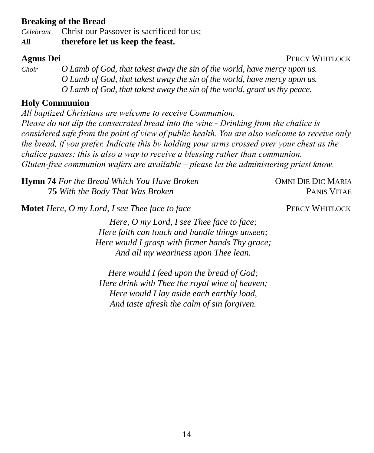#### **Breaking of the Bread**

*Celebrant* Christ our Passover is sacrificed for us;

*All* **therefore let us keep the feast.**

*Choir O Lamb of God, that takest away the sin of the world, have mercy upon us. O Lamb of God, that takest away the sin of the world, have mercy upon us. O Lamb of God, that takest away the sin of the world, grant us thy peace.*

#### **Holy Communion**

*All baptized Christians are welcome to receive Communion. Please do not dip the consecrated bread into the wine - Drinking from the chalice is considered safe from the point of view of public health. You are also welcome to receive only the bread, if you prefer. Indicate this by holding your arms crossed over your chest as the chalice passes; this is also a way to receive a blessing rather than communion. Gluten-free communion wafers are available – please let the administering priest know.*

**Hymn 74** For the Bread Which You Have Broken **COMNI DIE DIC MARIA 75** *With the Body That Was Broken* **PANIS VITAE** 

**Motet** *Here, O my Lord, I see Thee face to face* **PERCY WHITLOCK** 

*Here, O my Lord, I see Thee face to face; Here faith can touch and handle things unseen; Here would I grasp with firmer hands Thy grace; And all my weariness upon Thee lean.*

*Here would I feed upon the bread of God; Here drink with Thee the royal wine of heaven; Here would I lay aside each earthly load, And taste afresh the calm of sin forgiven.*

**Agnus Dei** PERCY WHITLOCK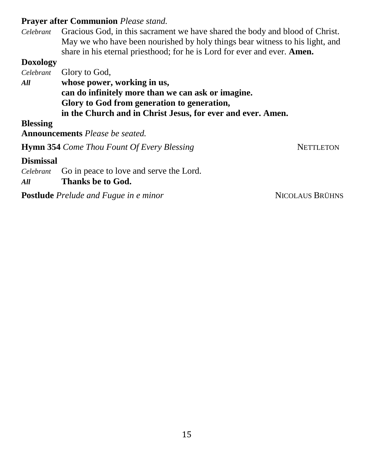#### **Prayer after Communion** *Please stand.*

*Celebrant* Gracious God, in this sacrament we have shared the body and blood of Christ. May we who have been nourished by holy things bear witness to his light, and share in his eternal priesthood; for he is Lord for ever and ever. **Amen.**

#### **Doxology**

*Celebrant* Glory to God, *All* **whose power, working in us, can do infinitely more than we can ask or imagine. Glory to God from generation to generation, in the Church and in Christ Jesus, for ever and ever. Amen.**

**Blessing**

**Announcements** *Please be seated.*

**Hymn** 354 *Come Thou Fount Of Every Blessing* NETTLETON

#### **Dismissal**

*Celebrant* Go in peace to love and serve the Lord.

*All* **Thanks be to God.** 

**Postlude** *Prelude and Fugue in e minor* **NICOLAUS BRÜHNS**